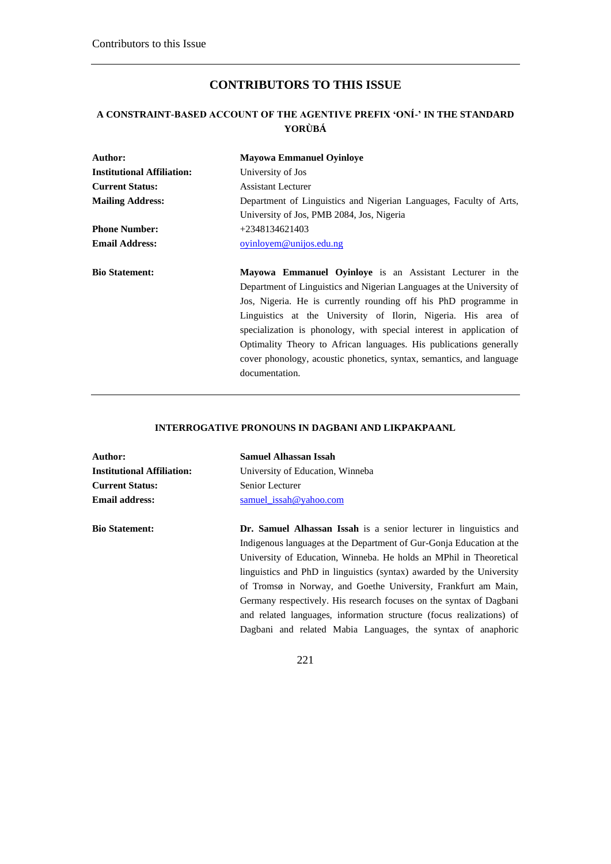# **CONTRIBUTORS TO THIS ISSUE**

## **A CONSTRAINT-BASED ACCOUNT OF THE AGENTIVE PREFIX 'ONÍ-' IN THE STANDARD YORÙBÁ**

| Author:                           | <b>Mayowa Emmanuel Oyinloye</b>                                       |
|-----------------------------------|-----------------------------------------------------------------------|
| <b>Institutional Affiliation:</b> | University of Jos                                                     |
| <b>Current Status:</b>            | <b>Assistant Lecturer</b>                                             |
| <b>Mailing Address:</b>           | Department of Linguistics and Nigerian Languages, Faculty of Arts,    |
|                                   | University of Jos, PMB 2084, Jos, Nigeria                             |
| <b>Phone Number:</b>              | $+2348134621403$                                                      |
| <b>Email Address:</b>             | oyinloyem@unijos.edu.ng                                               |
| <b>Bio Statement:</b>             | <b>Mayowa Emmanuel Oyinloye</b> is an Assistant Lecturer in the       |
|                                   | Department of Linguistics and Nigerian Languages at the University of |
|                                   | Jos, Nigeria. He is currently rounding off his PhD programme in       |
|                                   | Linguistics at the University of Ilorin, Nigeria. His area of         |
|                                   | specialization is phonology, with special interest in application of  |
|                                   | Optimality Theory to African languages. His publications generally    |
|                                   | cover phonology, acoustic phonetics, syntax, semantics, and language  |
|                                   | documentation.                                                        |

#### **INTERROGATIVE PRONOUNS IN DAGBANI AND LIKPAKPAANL**

| Author:                           | <b>Samuel Alhassan Issah</b>                                             |
|-----------------------------------|--------------------------------------------------------------------------|
| <b>Institutional Affiliation:</b> | University of Education, Winneba                                         |
| <b>Current Status:</b>            | Senior Lecturer                                                          |
| <b>Email address:</b>             | samuel issah@yahoo.com                                                   |
| <b>Bio Statement:</b>             | <b>Dr. Samuel Alhassan Issah</b> is a senior lecturer in linguistics and |
|                                   | Indigenous languages at the Department of Gur-Gonja Education at the     |
|                                   | University of Education, Winneba. He holds an MPhil in Theoretical       |
|                                   | linguistics and PhD in linguistics (syntax) awarded by the University    |
|                                   | of Tromsø in Norway, and Goethe University, Frankfurt am Main,           |
|                                   | Germany respectively. His research focuses on the syntax of Dagbani      |
|                                   | and related languages, information structure (focus realizations) of     |
|                                   | Dagbani and related Mabia Languages, the syntax of anaphoric             |
|                                   |                                                                          |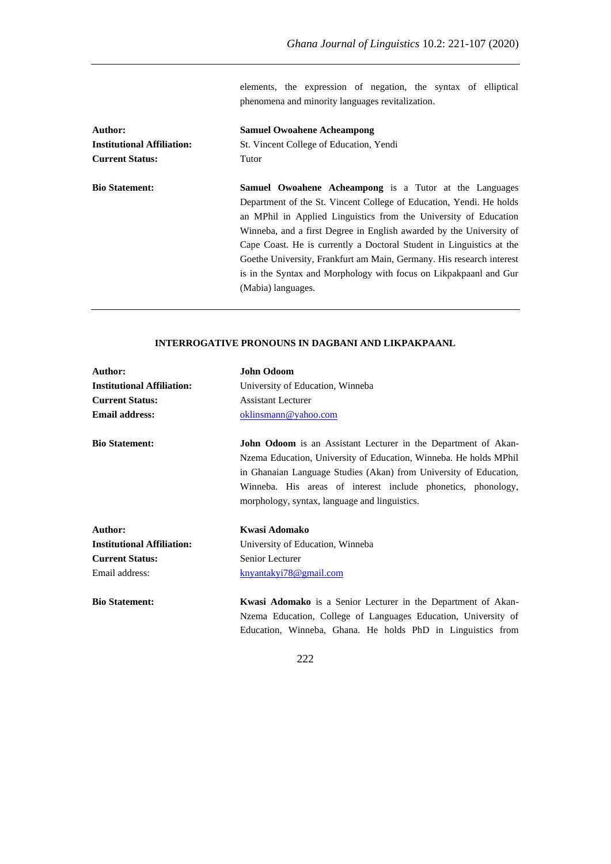elements, the expression of negation, the syntax of elliptical phenomena and minority languages revitalization.

| <b>Samuel Owoahene Acheampong</b>                                    |
|----------------------------------------------------------------------|
| St. Vincent College of Education, Yendi                              |
| Tutor                                                                |
| Samuel Owoahene Acheampong is a Tutor at the Languages               |
| Department of the St. Vincent College of Education, Yendi. He holds  |
| an MPhil in Applied Linguistics from the University of Education     |
| Winneba, and a first Degree in English awarded by the University of  |
| Cape Coast. He is currently a Doctoral Student in Linguistics at the |
| Goethe University, Frankfurt am Main, Germany. His research interest |
| is in the Syntax and Morphology with focus on Likpakpaanl and Gur    |
| (Mabia) languages.                                                   |
|                                                                      |

#### **INTERROGATIVE PRONOUNS IN DAGBANI AND LIKPAKPAANL**

| Author:                           | <b>John Odoom</b>                                                                                                                                                                                                                                                                                                                |
|-----------------------------------|----------------------------------------------------------------------------------------------------------------------------------------------------------------------------------------------------------------------------------------------------------------------------------------------------------------------------------|
| <b>Institutional Affiliation:</b> | University of Education, Winneba                                                                                                                                                                                                                                                                                                 |
| <b>Current Status:</b>            | Assistant Lecturer                                                                                                                                                                                                                                                                                                               |
| <b>Email address:</b>             | oklinsmann@yahoo.com                                                                                                                                                                                                                                                                                                             |
| <b>Bio Statement:</b>             | <b>John Odoom</b> is an Assistant Lecturer in the Department of Akan-<br>Nzema Education, University of Education, Winneba. He holds MPhil<br>in Ghanaian Language Studies (Akan) from University of Education,<br>Winneba. His areas of interest include phonetics, phonology,<br>morphology, syntax, language and linguistics. |
| Author:                           | Kwasi Adomako                                                                                                                                                                                                                                                                                                                    |
| <b>Institutional Affiliation:</b> | University of Education, Winneba                                                                                                                                                                                                                                                                                                 |
| <b>Current Status:</b>            | Senior Lecturer                                                                                                                                                                                                                                                                                                                  |
| Email address:                    | knyantakyi78@gmail.com                                                                                                                                                                                                                                                                                                           |
| <b>Bio Statement:</b>             | <b>Kwasi Adomako</b> is a Senior Lecturer in the Department of Akan-<br>Nzema Education, College of Languages Education, University of                                                                                                                                                                                           |

222

Education, Winneba, Ghana. He holds PhD in Linguistics from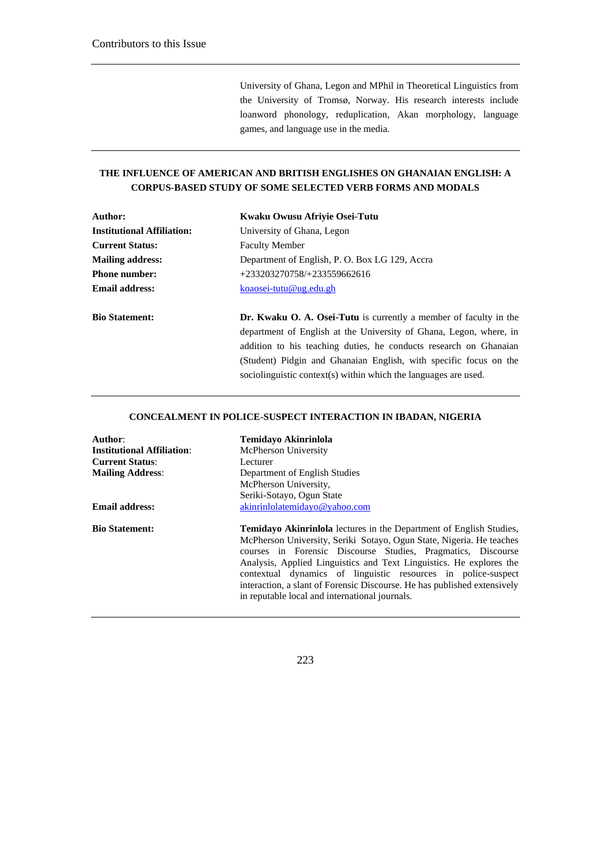University of Ghana, Legon and MPhil in Theoretical Linguistics from the University of Tromsø, Norway. His research interests include loanword phonology, reduplication, Akan morphology, language games, and language use in the media.

(Student) Pidgin and Ghanaian English, with specific focus on the

sociolinguistic context(s) within which the languages are used.

#### **THE INFLUENCE OF AMERICAN AND BRITISH ENGLISHES ON GHANAIAN ENGLISH: A CORPUS-BASED STUDY OF SOME SELECTED VERB FORMS AND MODALS**

| Author:                           | Kwaku Owusu Afriyie Osei-Tutu                                            |
|-----------------------------------|--------------------------------------------------------------------------|
| <b>Institutional Affiliation:</b> | University of Ghana, Legon                                               |
| <b>Current Status:</b>            | <b>Faculty Member</b>                                                    |
| <b>Mailing address:</b>           | Department of English, P. O. Box LG 129, Accra                           |
| <b>Phone number:</b>              | $+233203270758/+233559662616$                                            |
| <b>Email address:</b>             | koaosei-tutu@ug.edu.gh                                                   |
| <b>Bio Statement:</b>             | <b>Dr. Kwaku O. A. Osei-Tutu</b> is currently a member of faculty in the |
|                                   | department of English at the University of Ghana, Legon, where, in       |
|                                   | addition to his teaching duties, he conducts research on Ghanaian        |

#### **CONCEALMENT IN POLICE-SUSPECT INTERACTION IN IBADAN, NIGERIA**

| Author:                           | <b>Temidavo Akinrinlola</b>                                                |
|-----------------------------------|----------------------------------------------------------------------------|
| <b>Institutional Affiliation:</b> | <b>McPherson University</b>                                                |
| <b>Current Status:</b>            | Lecturer                                                                   |
| <b>Mailing Address:</b>           | Department of English Studies                                              |
|                                   | McPherson University,                                                      |
|                                   | Seriki-Sotayo, Ogun State                                                  |
| <b>Email address:</b>             | akinrinlolatemidayo@yahoo.com                                              |
| <b>Bio Statement:</b>             | <b>Temidayo Akinriniola</b> lectures in the Department of English Studies, |
|                                   | McPherson University, Seriki Sotayo, Ogun State, Nigeria. He teaches       |
|                                   | courses in Forensic Discourse Studies, Pragmatics, Discourse               |
|                                   | Analysis, Applied Linguistics and Text Linguistics. He explores the        |
|                                   | contextual dynamics of linguistic resources in police-suspect              |
|                                   | interaction, a slant of Forensic Discourse. He has published extensively   |
|                                   | in reputable local and international journals.                             |
|                                   |                                                                            |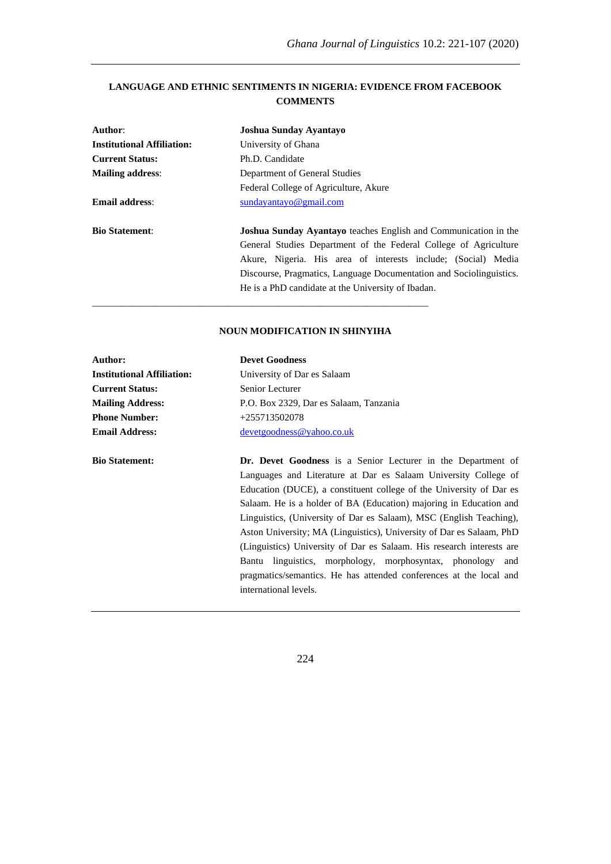## **LANGUAGE AND ETHNIC SENTIMENTS IN NIGERIA: EVIDENCE FROM FACEBOOK COMMENTS**

| Joshua Sunday Ayantayo                                                                                                                                                                                                                                                                                                                   |
|------------------------------------------------------------------------------------------------------------------------------------------------------------------------------------------------------------------------------------------------------------------------------------------------------------------------------------------|
| University of Ghana                                                                                                                                                                                                                                                                                                                      |
| Ph.D. Candidate                                                                                                                                                                                                                                                                                                                          |
| Department of General Studies                                                                                                                                                                                                                                                                                                            |
| Federal College of Agriculture, Akure                                                                                                                                                                                                                                                                                                    |
| sundayantayo@gmail.com                                                                                                                                                                                                                                                                                                                   |
| <b>Joshua Sunday Ayantayo</b> teaches English and Communication in the<br>General Studies Department of the Federal College of Agriculture<br>Akure, Nigeria. His area of interests include; (Social) Media<br>Discourse, Pragmatics, Language Documentation and Sociolinguistics.<br>He is a PhD candidate at the University of Ibadan. |
|                                                                                                                                                                                                                                                                                                                                          |

#### **NOUN MODIFICATION IN SHINYIHA**

| Author:                           | <b>Devet Goodness</b>                                                 |
|-----------------------------------|-----------------------------------------------------------------------|
| <b>Institutional Affiliation:</b> | University of Dar es Salaam                                           |
| <b>Current Status:</b>            | Senior Lecturer                                                       |
| <b>Mailing Address:</b>           | P.O. Box 2329, Dar es Salaam, Tanzania                                |
| <b>Phone Number:</b>              | $+255713502078$                                                       |
| <b>Email Address:</b>             | devetgoodness@vahoo.co.uk                                             |
|                                   |                                                                       |
| <b>Bio Statement:</b>             | <b>Dr.</b> Devet Goodness is a Senior Lecturer in the Department of   |
|                                   | Languages and Literature at Dar es Salaam University College of       |
|                                   | Education (DUCE), a constituent college of the University of Dar es   |
|                                   | Salaam. He is a holder of BA (Education) majoring in Education and    |
|                                   | Linguistics, (University of Dar es Salaam), MSC (English Teaching),   |
|                                   | Aston University; MA (Linguistics), University of Dar es Salaam, PhD  |
|                                   | (Linguistics) University of Dar es Salaam. His research interests are |
|                                   | Bantu linguistics, morphology, morphosyntax, phonology and            |
|                                   | pragmatics/semantics. He has attended conferences at the local and    |
|                                   | international levels.                                                 |
|                                   |                                                                       |